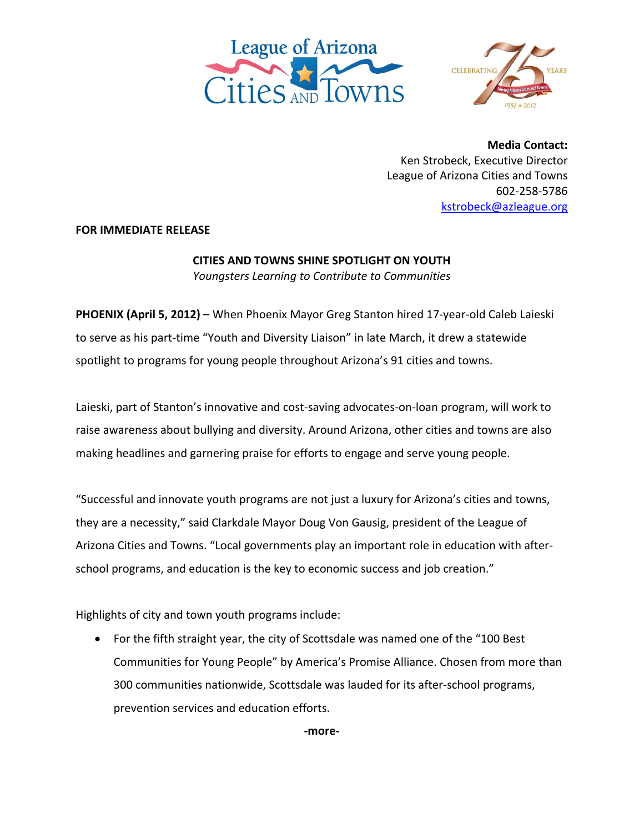



**Media Contact:** Ken Strobeck, Executive Director League of Arizona Cities and Towns 602‐258‐5786 kstrobeck@azleague.org

**FOR IMMEDIATE RELEASE**

## **CITIES AND TOWNS SHINE SPOTLIGHT ON YOUTH**

*Youngsters Learning to Contribute to Communities*

**PHOENIX (April 5, 2012)** – When Phoenix Mayor Greg Stanton hired 17‐year‐old Caleb Laieski to serve as his part-time "Youth and Diversity Liaison" in late March, it drew a statewide spotlight to programs for young people throughout Arizona's 91 cities and towns.

Laieski, part of Stanton's innovative and cost-saving advocates-on-loan program, will work to raise awareness about bullying and diversity. Around Arizona, other cities and towns are also making headlines and garnering praise for efforts to engage and serve young people.

"Successful and innovate youth programs are not just a luxury for Arizona's cities and towns, they are a necessity," said Clarkdale Mayor Doug Von Gausig, president of the League of Arizona Cities and Towns. "Local governments play an important role in education with after‐ school programs, and education is the key to economic success and job creation."

Highlights of city and town youth programs include:

 For the fifth straight year, the city of Scottsdale was named one of the "100 Best Communities for Young People" by America's Promise Alliance. Chosen from more than 300 communities nationwide, Scottsdale was lauded for its after‐school programs, prevention services and education efforts.

**‐more‐**